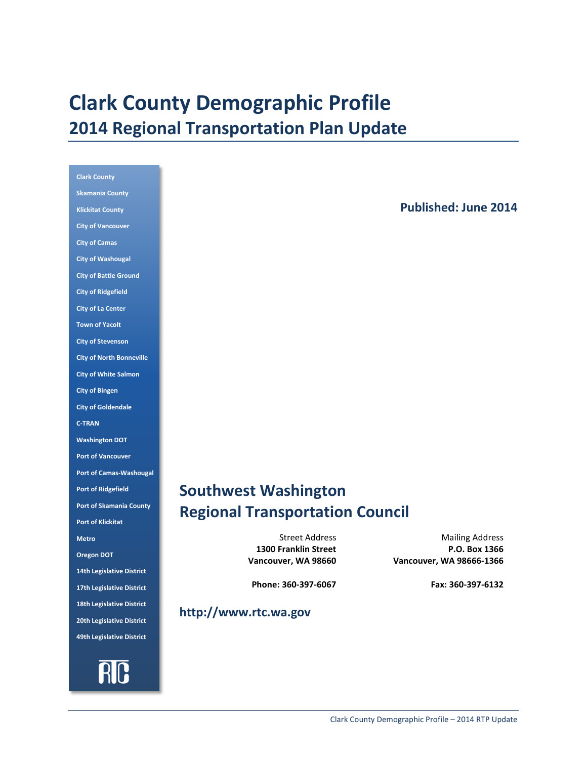# **Clark County Demographic Profile 2014 Regional Transportation Plan Update**

| <b>Clark County</b>              |
|----------------------------------|
| <b>Skamania County</b>           |
| <b>Klickitat County</b>          |
| <b>City of Vancouver</b>         |
| <b>City of Camas</b>             |
| <b>City of Washougal</b>         |
| <b>City of Battle Ground</b>     |
| <b>City of Ridgefield</b>        |
| <b>City of La Center</b>         |
| <b>Town of Yacolt</b>            |
| <b>City of Stevenson</b>         |
| <b>City of North Bonneville</b>  |
| <b>City of White Salmon</b>      |
| <b>City of Bingen</b>            |
| <b>City of Goldendale</b>        |
| <b>C-TRAN</b>                    |
|                                  |
| <b>Washington DOT</b>            |
| <b>Port of Vancouver</b>         |
| <b>Port of Camas-Washougal</b>   |
| <b>Port of Ridgefield</b>        |
| <b>Port of Skamania County</b>   |
| <b>Port of Klickitat</b>         |
| <b>Metro</b>                     |
| <b>Oregon DOT</b>                |
| 14th Legislative District        |
| 17th Legislative District        |
| <b>18th Legislative District</b> |
| 20th Legislative District        |
| 49th Legislative District        |

RIC

**Published: June 2014** 

## **Southwest Washington Regional Transportation Council**

**1300 Franklin Street Vancouver, WA 98660**

Street Address Mailing Address **P.O. Box 1366 Vancouver, WA 98666-1366**

**Phone: 360-397-6067 Fax: 360-397-6132**

## **http://www.rtc.wa.gov**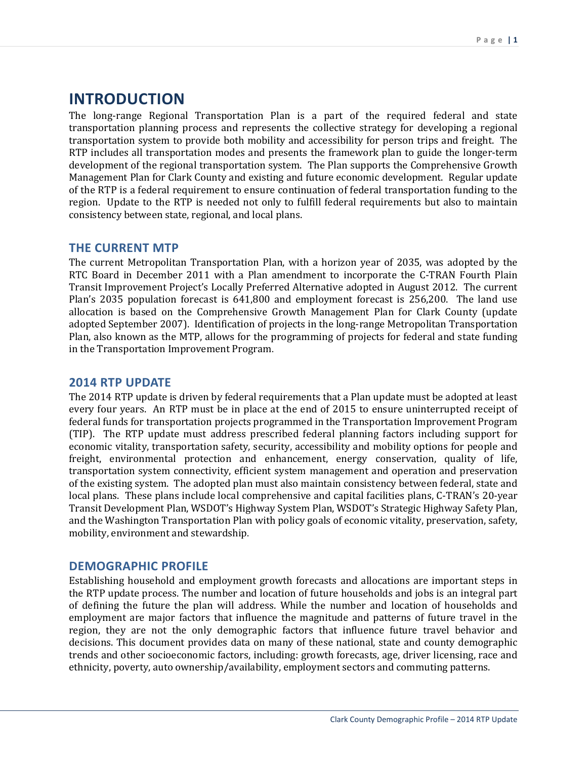## **INTRODUCTION**

The long-range Regional Transportation Plan is a part of the required federal and state transportation planning process and represents the collective strategy for developing a regional transportation system to provide both mobility and accessibility for person trips and freight. The RTP includes all transportation modes and presents the framework plan to guide the longer-term development of the regional transportation system. The Plan supports the Comprehensive Growth Management Plan for Clark County and existing and future economic development. Regular update of the RTP is a federal requirement to ensure continuation of federal transportation funding to the region. Update to the RTP is needed not only to fulfill federal requirements but also to maintain consistency between state, regional, and local plans.

## **THE CURRENT MTP**

The current Metropolitan Transportation Plan, with a horizon year of 2035, was adopted by the RTC Board in December 2011 with a Plan amendment to incorporate the C-TRAN Fourth Plain Transit Improvement Project's Locally Preferred Alternative adopted in August 2012. The current Plan's 2035 population forecast is 641,800 and employment forecast is 256,200. The land use allocation is based on the Comprehensive Growth Management Plan for Clark County (update adopted September 2007). Identification of projects in the long-range Metropolitan Transportation Plan, also known as the MTP, allows for the programming of projects for federal and state funding in the Transportation Improvement Program.

## **2014 RTP UPDATE**

The 2014 RTP update is driven by federal requirements that a Plan update must be adopted at least every four years. An RTP must be in place at the end of 2015 to ensure uninterrupted receipt of federal funds for transportation projects programmed in the Transportation Improvement Program (TIP). The RTP update must address prescribed federal planning factors including support for economic vitality, transportation safety, security, accessibility and mobility options for people and freight, environmental protection and enhancement, energy conservation, quality of life, transportation system connectivity, efficient system management and operation and preservation of the existing system. The adopted plan must also maintain consistency between federal, state and local plans. These plans include local comprehensive and capital facilities plans, C-TRAN's 20-year Transit Development Plan, WSDOT's Highway System Plan, WSDOT's Strategic Highway Safety Plan, and the Washington Transportation Plan with policy goals of economic vitality, preservation, safety, mobility, environment and stewardship.

## **DEMOGRAPHIC PROFILE**

Establishing household and employment growth forecasts and allocations are important steps in the RTP update process. The number and location of future households and jobs is an integral part of defining the future the plan will address. While the number and location of households and employment are major factors that influence the magnitude and patterns of future travel in the region, they are not the only demographic factors that influence future travel behavior and decisions. This document provides data on many of these national, state and county demographic trends and other socioeconomic factors, including: growth forecasts, age, driver licensing, race and ethnicity, poverty, auto ownership/availability, employment sectors and commuting patterns.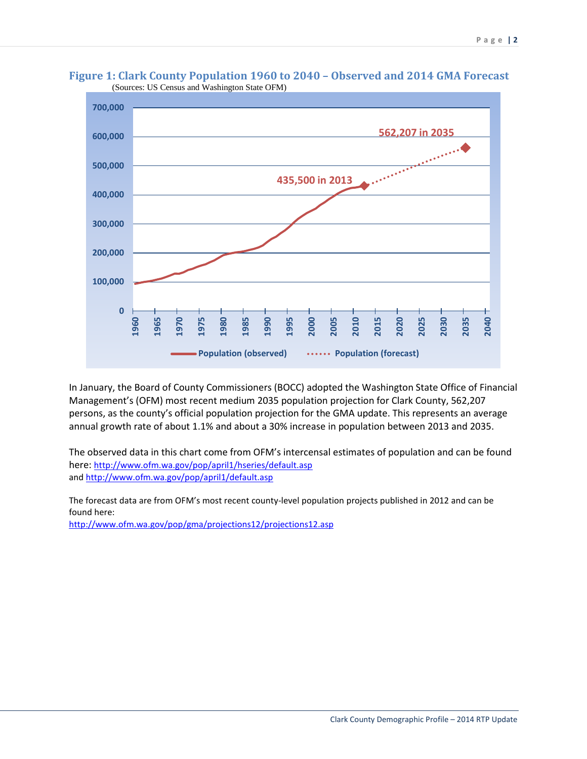

**Figure 1: Clark County Population 1960 to 2040 – Observed and 2014 GMA Forecast**  (Sources: US Census and Washington State OFM)

In January, the Board of County Commissioners (BOCC) adopted the Washington State Office of Financial Management's (OFM) most recent medium 2035 population projection for Clark County, 562,207 persons, as the county's official population projection for the GMA update. This represents an average annual growth rate of about 1.1% and about a 30% increase in population between 2013 and 2035.

The observed data in this chart come from OFM's intercensal estimates of population and can be found here:<http://www.ofm.wa.gov/pop/april1/hseries/default.asp> an[d http://www.ofm.wa.gov/pop/april1/default.asp](http://www.ofm.wa.gov/pop/april1/default.asp)

The forecast data are from OFM's most recent county-level population projects published in 2012 and can be found here:

<http://www.ofm.wa.gov/pop/gma/projections12/projections12.asp>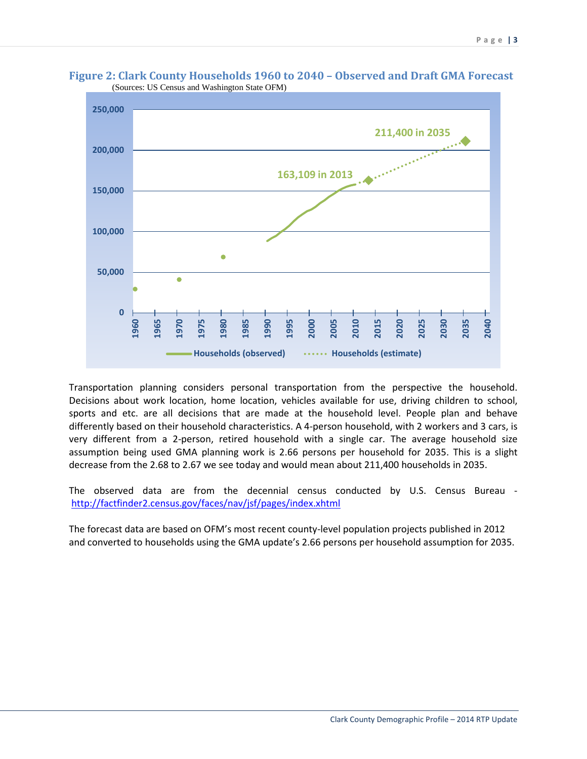

**Figure 2: Clark County Households 1960 to 2040 – Observed and Draft GMA Forecast**  (Sources: US Census and Washington State OFM)

Transportation planning considers personal transportation from the perspective the household. Decisions about work location, home location, vehicles available for use, driving children to school, sports and etc. are all decisions that are made at the household level. People plan and behave differently based on their household characteristics. A 4-person household, with 2 workers and 3 cars, is very different from a 2-person, retired household with a single car. The average household size assumption being used GMA planning work is 2.66 persons per household for 2035. This is a slight decrease from the 2.68 to 2.67 we see today and would mean about 211,400 households in 2035.

The observed data are from the decennial census conducted by U.S. Census Bureau <http://factfinder2.census.gov/faces/nav/jsf/pages/index.xhtml>

The forecast data are based on OFM's most recent county-level population projects published in 2012 and converted to households using the GMA update's 2.66 persons per household assumption for 2035.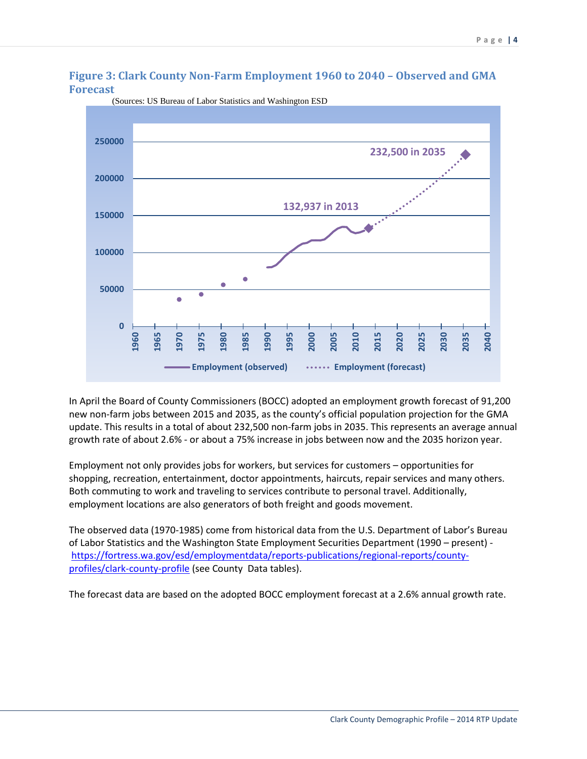#### **Figure 3: Clark County Non-Farm Employment 1960 to 2040 – Observed and GMA Forecast**



(Sources: US Bureau of Labor Statistics and Washington ESD

In April the Board of County Commissioners (BOCC) adopted an employment growth forecast of 91,200 new non-farm jobs between 2015 and 2035, as the county's official population projection for the GMA update. This results in a total of about 232,500 non-farm jobs in 2035. This represents an average annual growth rate of about 2.6% - or about a 75% increase in jobs between now and the 2035 horizon year.

Employment not only provides jobs for workers, but services for customers – opportunities for shopping, recreation, entertainment, doctor appointments, haircuts, repair services and many others. Both commuting to work and traveling to services contribute to personal travel. Additionally, employment locations are also generators of both freight and goods movement.

The observed data (1970-1985) come from historical data from the U.S. Department of Labor's Bureau of Labor Statistics and the Washington State Employment Securities Department (1990 – present) [https://fortress.wa.gov/esd/employmentdata/reports-publications/regional-reports/county](https://fortress.wa.gov/esd/employmentdata/reports-publications/regional-reports/county-profiles/clark-county-profile)[profiles/clark-county-profile](https://fortress.wa.gov/esd/employmentdata/reports-publications/regional-reports/county-profiles/clark-county-profile) (see County Data tables).

The forecast data are based on the adopted BOCC employment forecast at a 2.6% annual growth rate.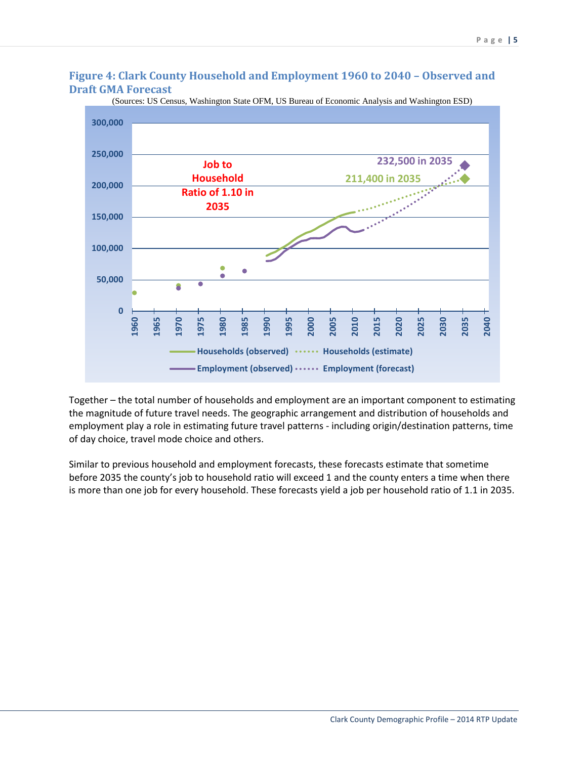#### **Figure 4: Clark County Household and Employment 1960 to 2040 – Observed and Draft GMA Forecast**



(Sources: US Census, Washington State OFM, US Bureau of Economic Analysis and Washington ESD)

Together – the total number of households and employment are an important component to estimating the magnitude of future travel needs. The geographic arrangement and distribution of households and employment play a role in estimating future travel patterns - including origin/destination patterns, time of day choice, travel mode choice and others.

Similar to previous household and employment forecasts, these forecasts estimate that sometime before 2035 the county's job to household ratio will exceed 1 and the county enters a time when there is more than one job for every household. These forecasts yield a job per household ratio of 1.1 in 2035.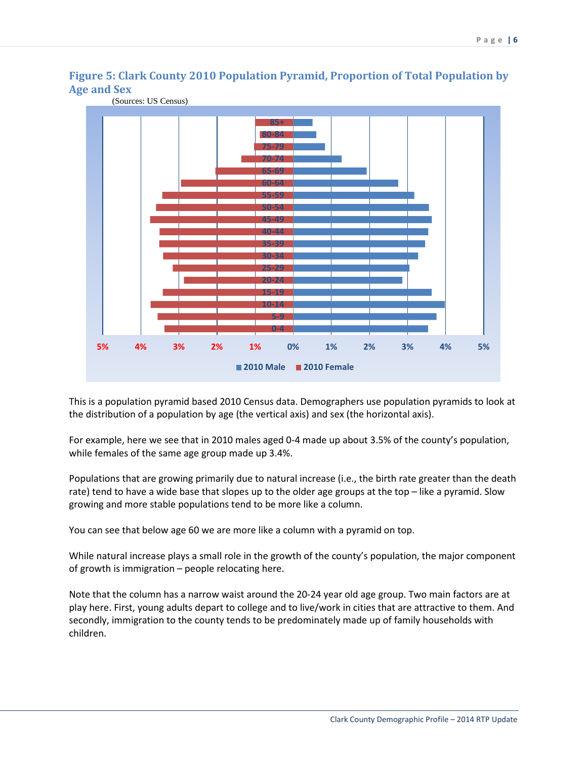

## **Figure 5: Clark County 2010 Population Pyramid, Proportion of Total Population by Age and Sex**

This is a population pyramid based 2010 Census data. Demographers use population pyramids to look at the distribution of a population by age (the vertical axis) and sex (the horizontal axis).

For example, here we see that in 2010 males aged 0-4 made up about 3.5% of the county's population, while females of the same age group made up 3.4%.

Populations that are growing primarily due to natural increase (i.e., the birth rate greater than the death rate) tend to have a wide base that slopes up to the older age groups at the top – like a pyramid. Slow growing and more stable populations tend to be more like a column.

You can see that below age 60 we are more like a column with a pyramid on top.

While natural increase plays a small role in the growth of the county's population, the major component of growth is immigration – people relocating here.

Note that the column has a narrow waist around the 20-24 year old age group. Two main factors are at play here. First, young adults depart to college and to live/work in cities that are attractive to them. And secondly, immigration to the county tends to be predominately made up of family households with children.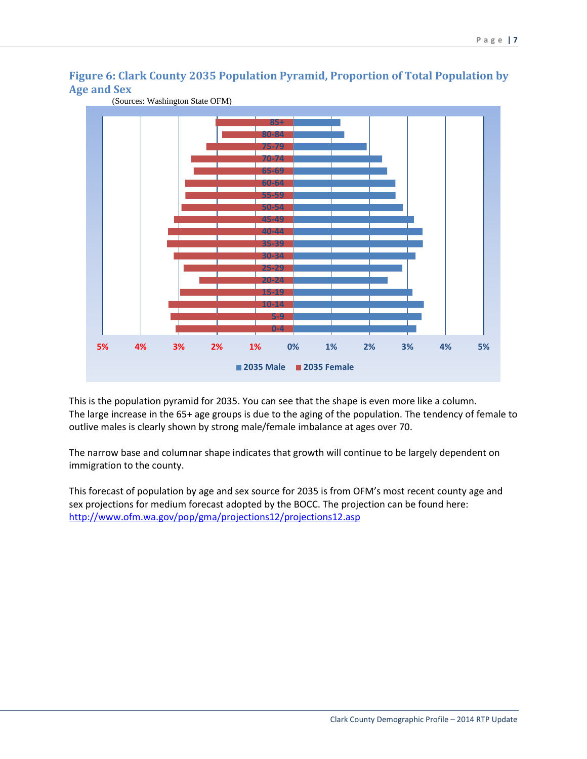## **Figure 6: Clark County 2035 Population Pyramid, Proportion of Total Population by Age and Sex**



(Sources: Washington State OFM)

This is the population pyramid for 2035. You can see that the shape is even more like a column. The large increase in the 65+ age groups is due to the aging of the population. The tendency of female to outlive males is clearly shown by strong male/female imbalance at ages over 70.

The narrow base and columnar shape indicates that growth will continue to be largely dependent on immigration to the county.

This forecast of population by age and sex source for 2035 is from OFM's most recent county age and sex projections for medium forecast adopted by the BOCC. The projection can be found here: <http://www.ofm.wa.gov/pop/gma/projections12/projections12.asp>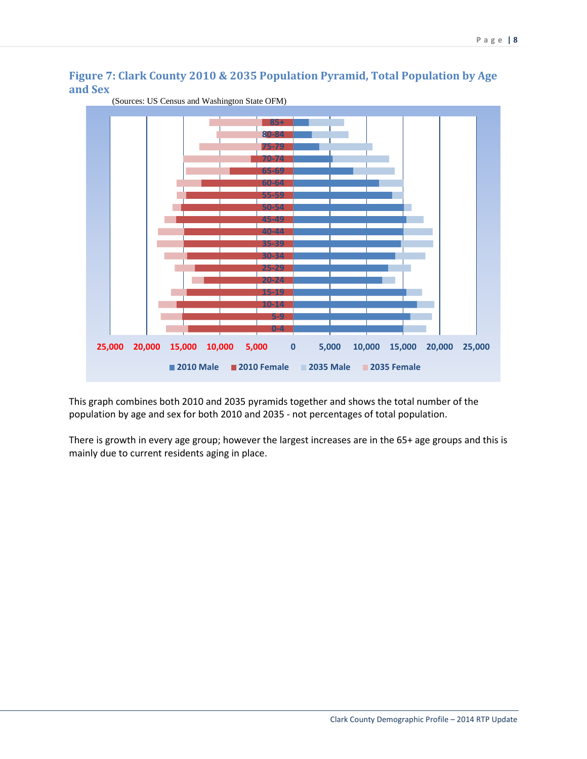## **Figure 7: Clark County 2010 & 2035 Population Pyramid, Total Population by Age and Sex**



(Sources: US Census and Washington State OFM)

This graph combines both 2010 and 2035 pyramids together and shows the total number of the population by age and sex for both 2010 and 2035 - not percentages of total population.

There is growth in every age group; however the largest increases are in the 65+ age groups and this is mainly due to current residents aging in place.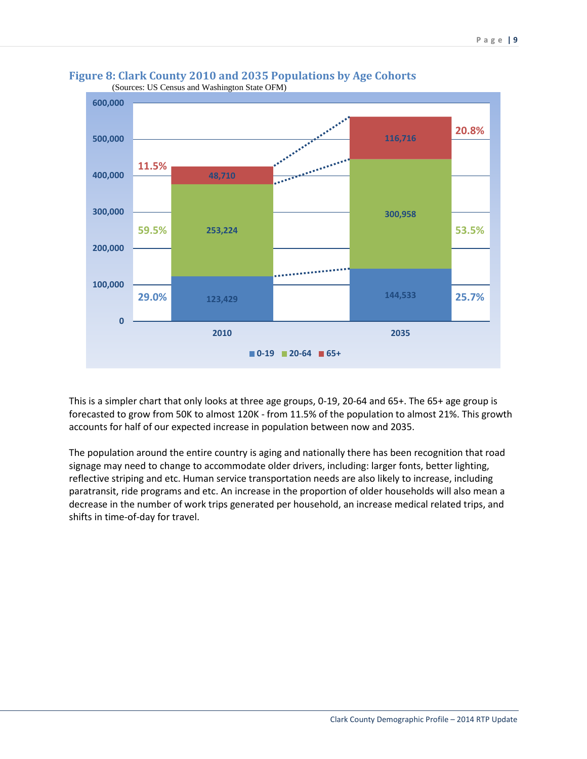

## **Figure 8: Clark County 2010 and 2035 Populations by Age Cohorts**

This is a simpler chart that only looks at three age groups, 0-19, 20-64 and 65+. The 65+ age group is forecasted to grow from 50K to almost 120K - from 11.5% of the population to almost 21%. This growth accounts for half of our expected increase in population between now and 2035.

The population around the entire country is aging and nationally there has been recognition that road signage may need to change to accommodate older drivers, including: larger fonts, better lighting, reflective striping and etc. Human service transportation needs are also likely to increase, including paratransit, ride programs and etc. An increase in the proportion of older households will also mean a decrease in the number of work trips generated per household, an increase medical related trips, and shifts in time-of-day for travel.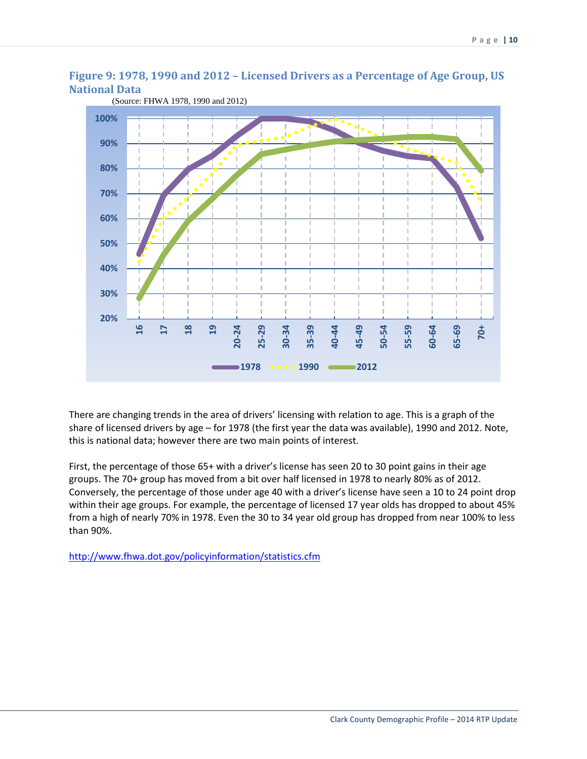

## **Figure 9: 1978, 1990 and 2012 – Licensed Drivers as a Percentage of Age Group, US National Data**

There are changing trends in the area of drivers' licensing with relation to age. This is a graph of the share of licensed drivers by age – for 1978 (the first year the data was available), 1990 and 2012. Note, this is national data; however there are two main points of interest.

First, the percentage of those 65+ with a driver's license has seen 20 to 30 point gains in their age groups. The 70+ group has moved from a bit over half licensed in 1978 to nearly 80% as of 2012. Conversely, the percentage of those under age 40 with a driver's license have seen a 10 to 24 point drop within their age groups. For example, the percentage of licensed 17 year olds has dropped to about 45% from a high of nearly 70% in 1978. Even the 30 to 34 year old group has dropped from near 100% to less than 90%.

<http://www.fhwa.dot.gov/policyinformation/statistics.cfm>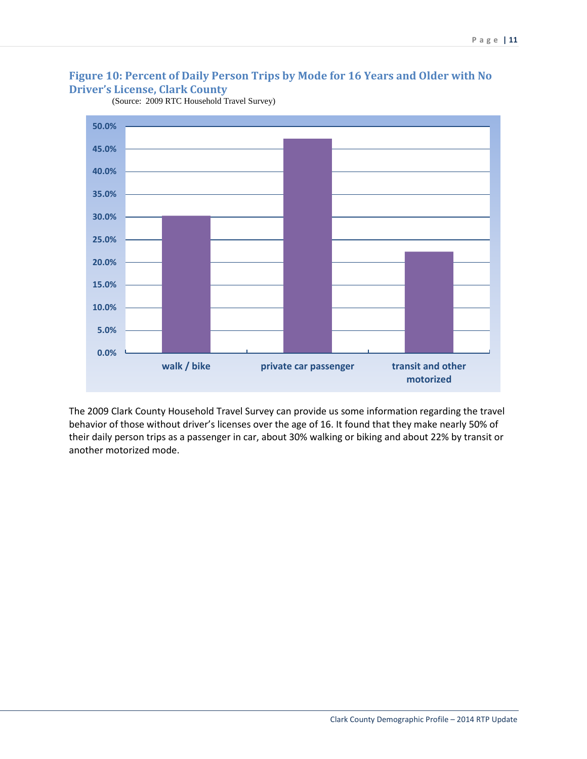## **Figure 10: Percent of Daily Person Trips by Mode for 16 Years and Older with No Driver's License, Clark County**



(Source: 2009 RTC Household Travel Survey)

The 2009 Clark County Household Travel Survey can provide us some information regarding the travel behavior of those without driver's licenses over the age of 16. It found that they make nearly 50% of their daily person trips as a passenger in car, about 30% walking or biking and about 22% by transit or another motorized mode.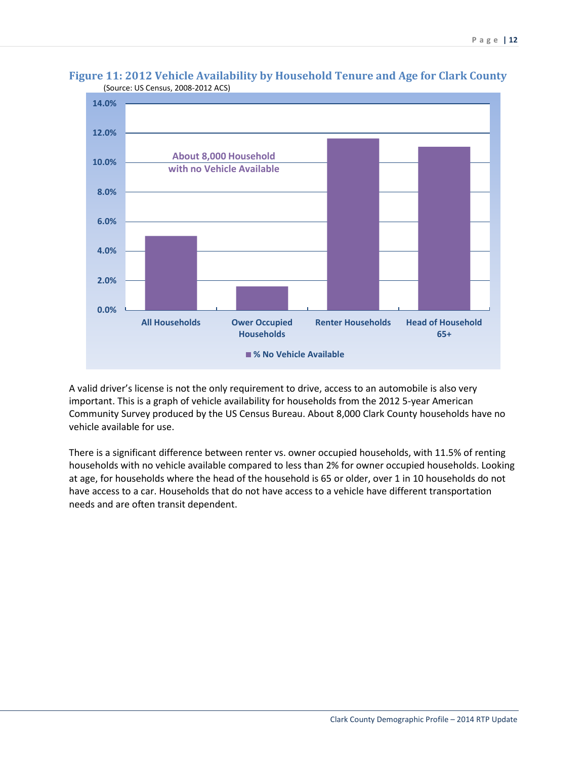

#### **Figure 11: 2012 Vehicle Availability by Household Tenure and Age for Clark County** (Source: US Census, 2008-2012 ACS)

A valid driver's license is not the only requirement to drive, access to an automobile is also very important. This is a graph of vehicle availability for households from the 2012 5-year American Community Survey produced by the US Census Bureau. About 8,000 Clark County households have no vehicle available for use.

There is a significant difference between renter vs. owner occupied households, with 11.5% of renting households with no vehicle available compared to less than 2% for owner occupied households. Looking at age, for households where the head of the household is 65 or older, over 1 in 10 households do not have access to a car. Households that do not have access to a vehicle have different transportation needs and are often transit dependent.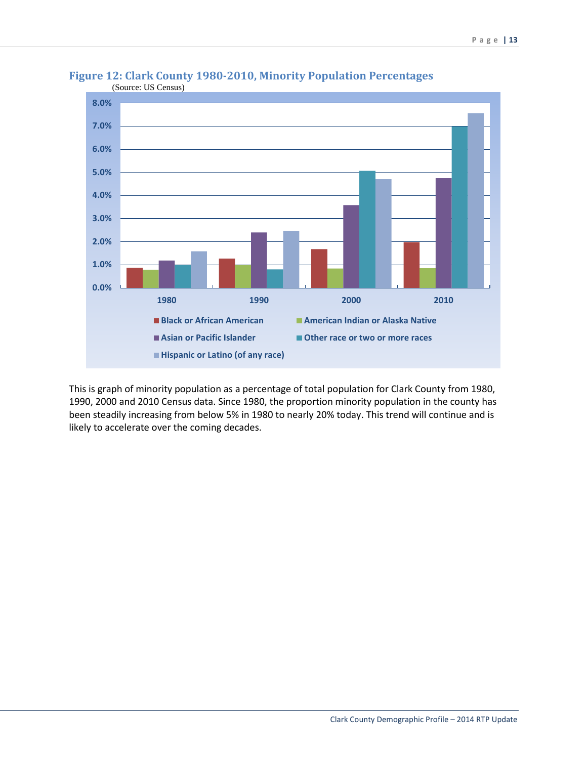

## **Figure 12: Clark County 1980-2010, Minority Population Percentages**

This is graph of minority population as a percentage of total population for Clark County from 1980, 1990, 2000 and 2010 Census data. Since 1980, the proportion minority population in the county has been steadily increasing from below 5% in 1980 to nearly 20% today. This trend will continue and is likely to accelerate over the coming decades.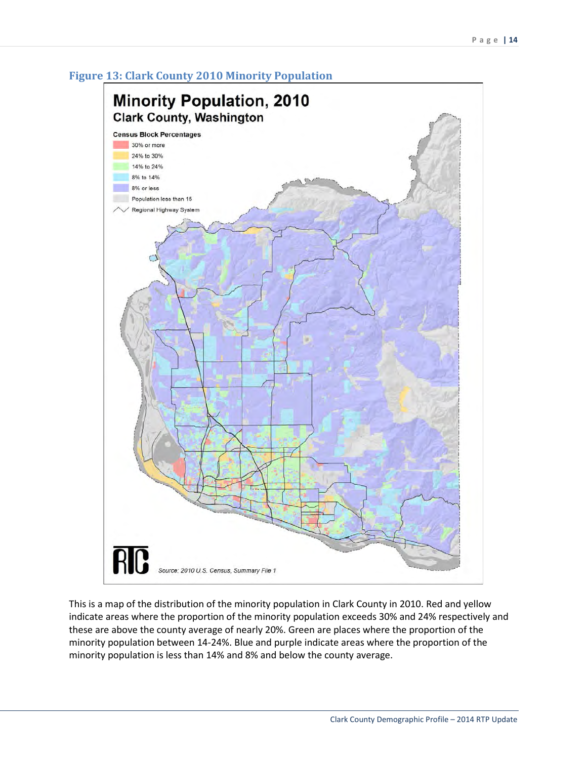



This is a map of the distribution of the minority population in Clark County in 2010. Red and yellow indicate areas where the proportion of the minority population exceeds 30% and 24% respectively and these are above the county average of nearly 20%. Green are places where the proportion of the minority population between 14-24%. Blue and purple indicate areas where the proportion of the minority population is less than 14% and 8% and below the county average.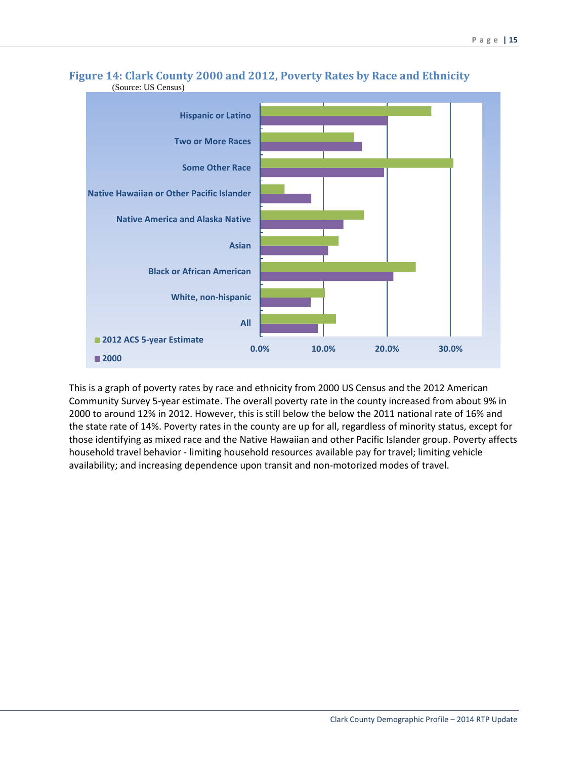

#### **Figure 14: Clark County 2000 and 2012, Poverty Rates by Race and Ethnicity** (Source: US Census)

This is a graph of poverty rates by race and ethnicity from 2000 US Census and the 2012 American Community Survey 5-year estimate. The overall poverty rate in the county increased from about 9% in 2000 to around 12% in 2012. However, this is still below the below the 2011 national rate of 16% and the state rate of 14%. Poverty rates in the county are up for all, regardless of minority status, except for those identifying as mixed race and the Native Hawaiian and other Pacific Islander group. Poverty affects household travel behavior - limiting household resources available pay for travel; limiting vehicle availability; and increasing dependence upon transit and non-motorized modes of travel.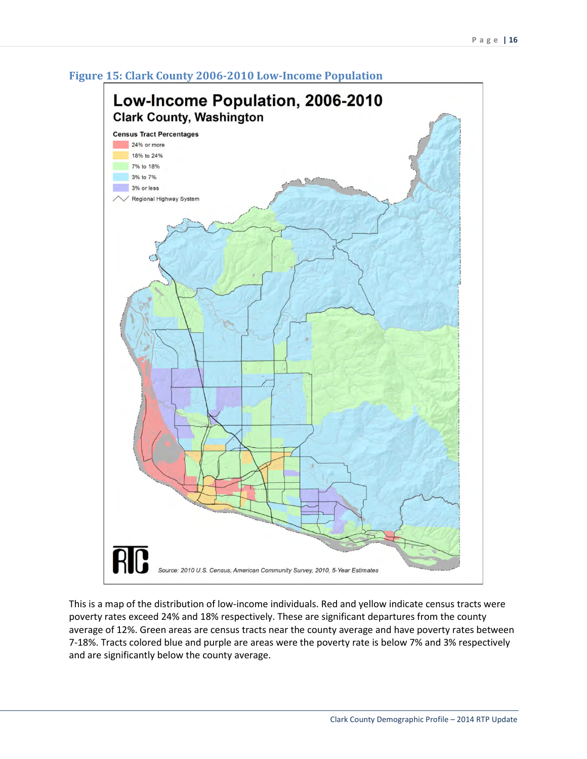

#### **Figure 15: Clark County 2006-2010 Low-Income Population**

This is a map of the distribution of low-income individuals. Red and yellow indicate census tracts were poverty rates exceed 24% and 18% respectively. These are significant departures from the county average of 12%. Green areas are census tracts near the county average and have poverty rates between 7-18%. Tracts colored blue and purple are areas were the poverty rate is below 7% and 3% respectively and are significantly below the county average.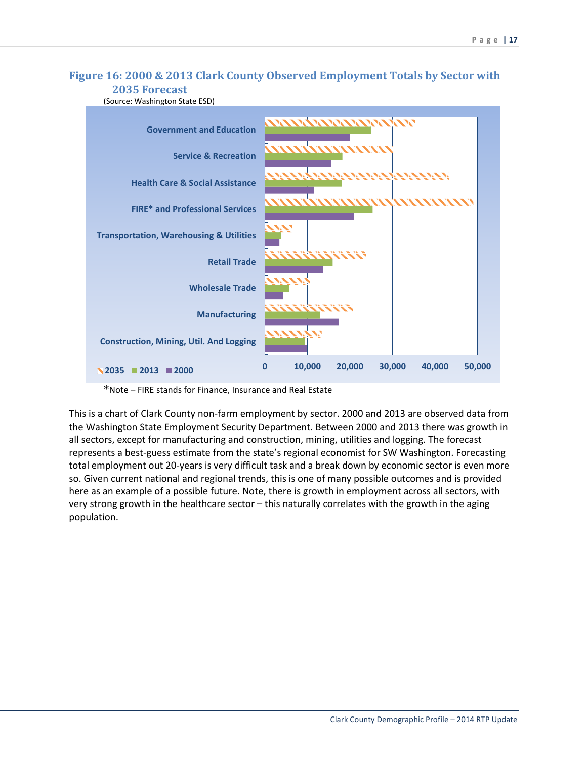### **Figure 16: 2000 & 2013 Clark County Observed Employment Totals by Sector with 2035 Forecast**

(Source: Washington State ESD)



\*Note – FIRE stands for Finance, Insurance and Real Estate

This is a chart of Clark County non-farm employment by sector. 2000 and 2013 are observed data from the Washington State Employment Security Department. Between 2000 and 2013 there was growth in all sectors, except for manufacturing and construction, mining, utilities and logging. The forecast represents a best-guess estimate from the state's regional economist for SW Washington. Forecasting total employment out 20-years is very difficult task and a break down by economic sector is even more so. Given current national and regional trends, this is one of many possible outcomes and is provided here as an example of a possible future. Note, there is growth in employment across all sectors, with very strong growth in the healthcare sector – this naturally correlates with the growth in the aging population.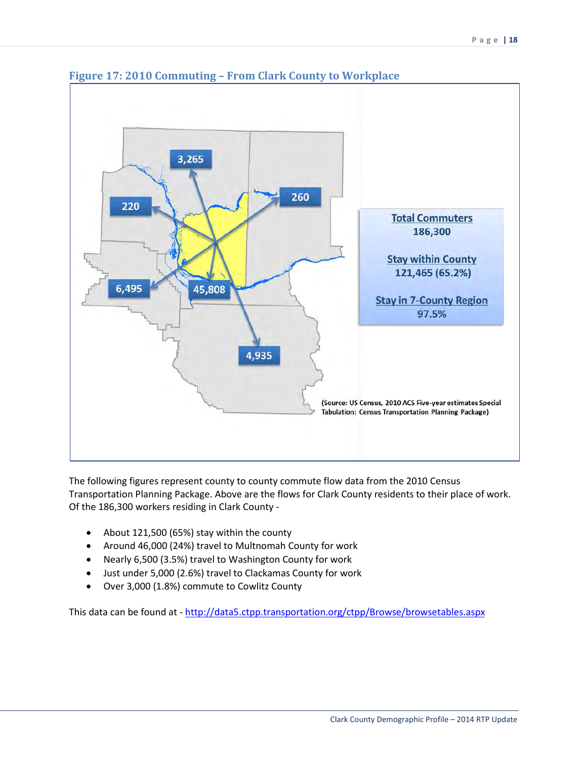

## **Figure 17: 2010 Commuting – From Clark County to Workplace**

The following figures represent county to county commute flow data from the 2010 Census Transportation Planning Package. Above are the flows for Clark County residents to their place of work. Of the 186,300 workers residing in Clark County -

- About 121,500 (65%) stay within the county
- Around 46,000 (24%) travel to Multnomah County for work
- Nearly 6,500 (3.5%) travel to Washington County for work
- Just under 5,000 (2.6%) travel to Clackamas County for work
- Over 3,000 (1.8%) commute to Cowlitz County

This data can be found at -<http://data5.ctpp.transportation.org/ctpp/Browse/browsetables.aspx>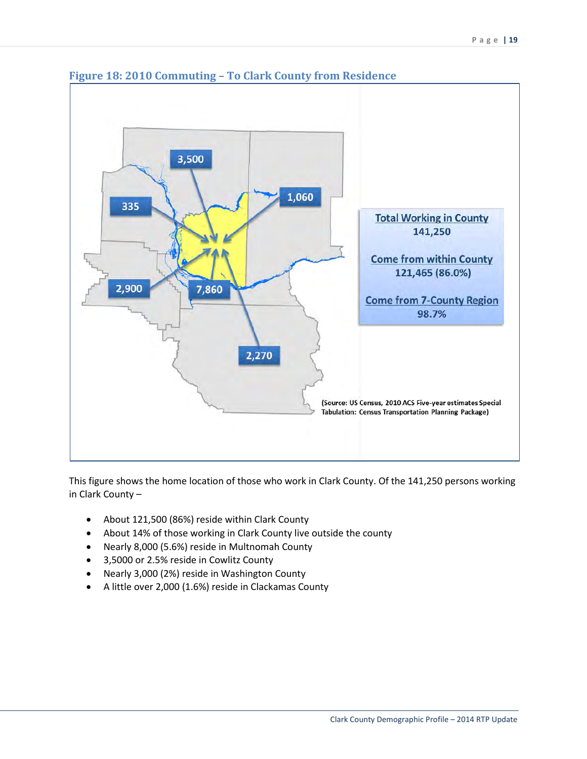

## **Figure 18: 2010 Commuting – To Clark County from Residence**

This figure shows the home location of those who work in Clark County. Of the 141,250 persons working in Clark County –

- About 121,500 (86%) reside within Clark County
- About 14% of those working in Clark County live outside the county
- Nearly 8,000 (5.6%) reside in Multnomah County
- 3,5000 or 2.5% reside in Cowlitz County
- Nearly 3,000 (2%) reside in Washington County
- A little over 2,000 (1.6%) reside in Clackamas County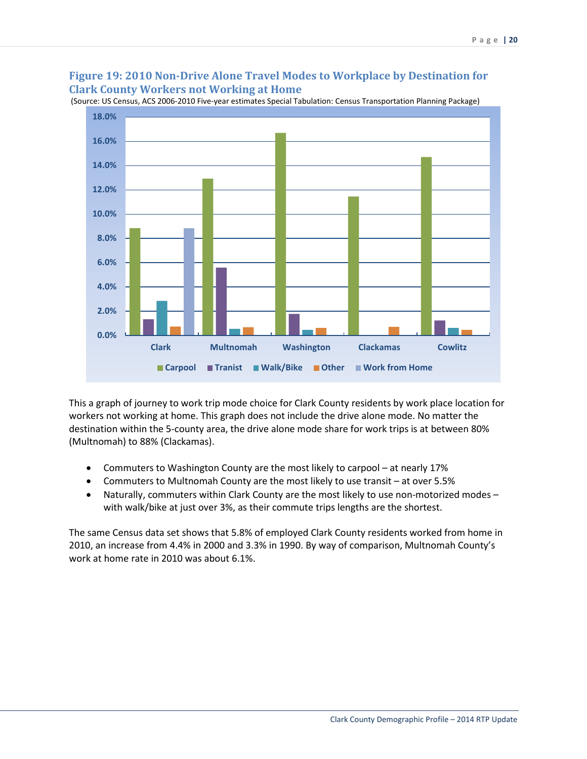### **Figure 19: 2010 Non-Drive Alone Travel Modes to Workplace by Destination for Clark County Workers not Working at Home**



(Source: US Census, ACS 2006-2010 Five-year estimates Special Tabulation: Census Transportation Planning Package)

This a graph of journey to work trip mode choice for Clark County residents by work place location for workers not working at home. This graph does not include the drive alone mode. No matter the destination within the 5-county area, the drive alone mode share for work trips is at between 80% (Multnomah) to 88% (Clackamas).

- Commuters to Washington County are the most likely to carpool at nearly 17%
- Commuters to Multnomah County are the most likely to use transit at over 5.5%
- Naturally, commuters within Clark County are the most likely to use non-motorized modes with walk/bike at just over 3%, as their commute trips lengths are the shortest.

The same Census data set shows that 5.8% of employed Clark County residents worked from home in 2010, an increase from 4.4% in 2000 and 3.3% in 1990. By way of comparison, Multnomah County's work at home rate in 2010 was about 6.1%.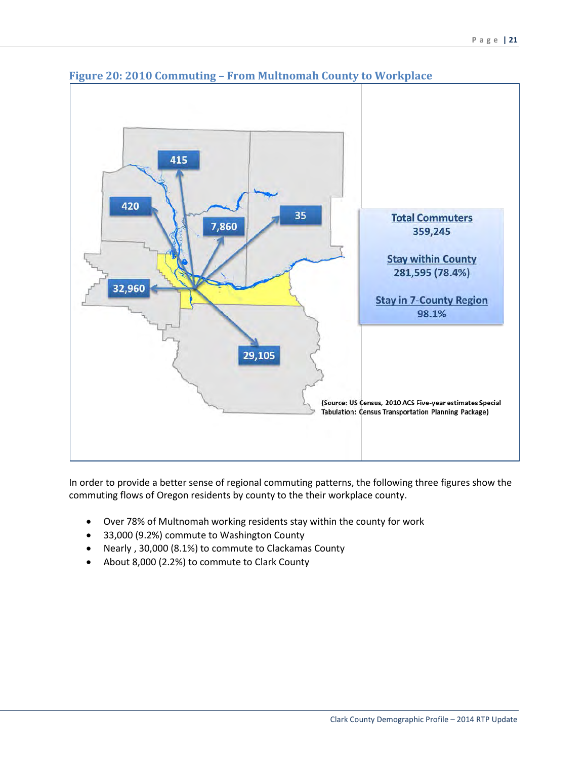

### **Figure 20: 2010 Commuting – From Multnomah County to Workplace**

In order to provide a better sense of regional commuting patterns, the following three figures show the commuting flows of Oregon residents by county to the their workplace county.

- Over 78% of Multnomah working residents stay within the county for work
- 33,000 (9.2%) commute to Washington County
- Nearly , 30,000 (8.1%) to commute to Clackamas County
- About 8,000 (2.2%) to commute to Clark County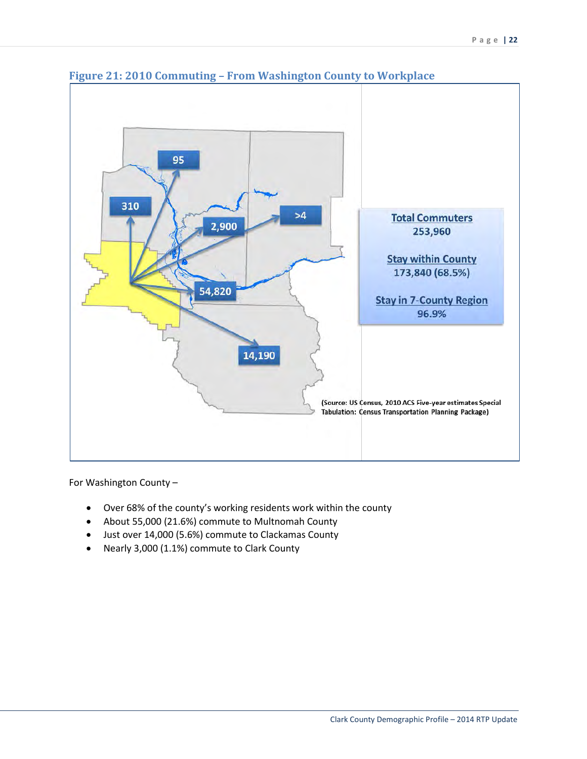

**Figure 21: 2010 Commuting – From Washington County to Workplace**

For Washington County –

- Over 68% of the county's working residents work within the county
- About 55,000 (21.6%) commute to Multnomah County
- Just over 14,000 (5.6%) commute to Clackamas County
- Nearly 3,000 (1.1%) commute to Clark County